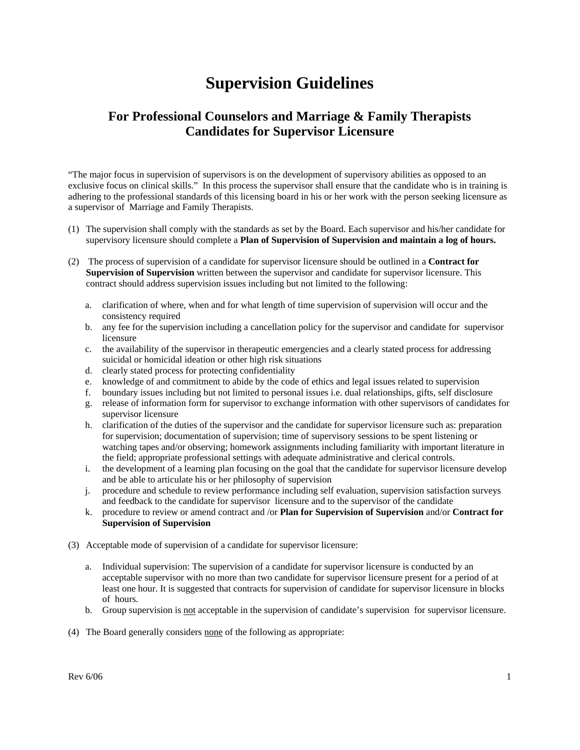## **Supervision Guidelines**

## **For Professional Counselors and Marriage & Family Therapists Candidates for Supervisor Licensure**

"The major focus in supervision of supervisors is on the development of supervisory abilities as opposed to an exclusive focus on clinical skills." In this process the supervisor shall ensure that the candidate who is in training is adhering to the professional standards of this licensing board in his or her work with the person seeking licensure as a supervisor of Marriage and Family Therapists.

- (1) The supervision shall comply with the standards as set by the Board. Each supervisor and his/her candidate for supervisory licensure should complete a **Plan of Supervision of Supervision and maintain a log of hours.**
- (2) The process of supervision of a candidate for supervisor licensure should be outlined in a **Contract for Supervision of Supervision** written between the supervisor and candidate for supervisor licensure. This contract should address supervision issues including but not limited to the following:
	- a. clarification of where, when and for what length of time supervision of supervision will occur and the consistency required
	- b. any fee for the supervision including a cancellation policy for the supervisor and candidate for supervisor licensure
	- c. the availability of the supervisor in therapeutic emergencies and a clearly stated process for addressing suicidal or homicidal ideation or other high risk situations
	- d. clearly stated process for protecting confidentiality
	- e. knowledge of and commitment to abide by the code of ethics and legal issues related to supervision
	- f. boundary issues including but not limited to personal issues i.e. dual relationships, gifts, self disclosure
	- g. release of information form for supervisor to exchange information with other supervisors of candidates for supervisor licensure
	- h. clarification of the duties of the supervisor and the candidate for supervisor licensure such as: preparation for supervision; documentation of supervision; time of supervisory sessions to be spent listening or watching tapes and/or observing; homework assignments including familiarity with important literature in the field; appropriate professional settings with adequate administrative and clerical controls.
	- i. the development of a learning plan focusing on the goal that the candidate for supervisor licensure develop and be able to articulate his or her philosophy of supervision
	- j. procedure and schedule to review performance including self evaluation, supervision satisfaction surveys and feedback to the candidate for supervisor licensure and to the supervisor of the candidate
	- k. procedure to review or amend contract and /or **Plan for Supervision of Supervision** and/or **Contract for Supervision of Supervision**
- (3) Acceptable mode of supervision of a candidate for supervisor licensure:
	- a. Individual supervision: The supervision of a candidate for supervisor licensure is conducted by an acceptable supervisor with no more than two candidate for supervisor licensure present for a period of at least one hour. It is suggested that contracts for supervision of candidate for supervisor licensure in blocks of hours.
	- b. Group supervision is not acceptable in the supervision of candidate's supervision for supervisor licensure.
- (4) The Board generally considers none of the following as appropriate: